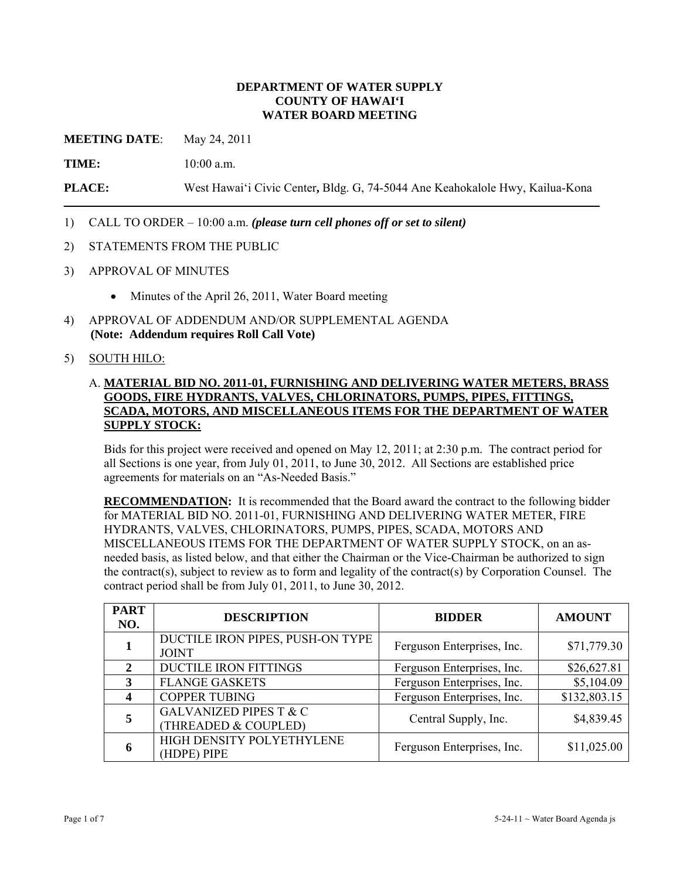### **DEPARTMENT OF WATER SUPPLY COUNTY OF HAWAI'I WATER BOARD MEETING**

**MEETING DATE:** May 24, 2011

**TIME:** 10:00 a.m.

**PLACE:** West Hawai'i Civic Center**,** Bldg. G, 74-5044 Ane Keahokalole Hwy, Kailua-Kona

- 1) CALL TO ORDER 10:00 a.m. *(please turn cell phones off or set to silent)*
- 2) STATEMENTS FROM THE PUBLIC
- 3) APPROVAL OF MINUTES
	- Minutes of the April 26, 2011, Water Board meeting
- 4) APPROVAL OF ADDENDUM AND/OR SUPPLEMENTAL AGENDA **(Note: Addendum requires Roll Call Vote)**

### 5) SOUTH HILO:

## A. **MATERIAL BID NO. 2011-01, FURNISHING AND DELIVERING WATER METERS, BRASS GOODS, FIRE HYDRANTS, VALVES, CHLORINATORS, PUMPS, PIPES, FITTINGS, SCADA, MOTORS, AND MISCELLANEOUS ITEMS FOR THE DEPARTMENT OF WATER SUPPLY STOCK:**

Bids for this project were received and opened on May 12, 2011; at 2:30 p.m. The contract period for all Sections is one year, from July 01, 2011, to June 30, 2012. All Sections are established price agreements for materials on an "As-Needed Basis."

**RECOMMENDATION:** It is recommended that the Board award the contract to the following bidder for MATERIAL BID NO. 2011-01, FURNISHING AND DELIVERING WATER METER, FIRE HYDRANTS, VALVES, CHLORINATORS, PUMPS, PIPES, SCADA, MOTORS AND MISCELLANEOUS ITEMS FOR THE DEPARTMENT OF WATER SUPPLY STOCK, on an asneeded basis, as listed below, and that either the Chairman or the Vice-Chairman be authorized to sign the contract(s), subject to review as to form and legality of the contract(s) by Corporation Counsel. The contract period shall be from July 01, 2011, to June 30, 2012.

| <b>PART</b><br>NO.          | <b>DESCRIPTION</b>                                        | <b>BIDDER</b>              | <b>AMOUNT</b> |
|-----------------------------|-----------------------------------------------------------|----------------------------|---------------|
|                             | DUCTILE IRON PIPES, PUSH-ON TYPE<br><b>JOINT</b>          | Ferguson Enterprises, Inc. | \$71,779.30   |
| $\mathcal{D}_{\mathcal{L}}$ | <b>DUCTILE IRON FITTINGS</b>                              | Ferguson Enterprises, Inc. | \$26,627.81   |
| 3                           | <b>FLANGE GASKETS</b>                                     | Ferguson Enterprises, Inc. | \$5,104.09    |
|                             | <b>COPPER TUBING</b>                                      | Ferguson Enterprises, Inc. | \$132,803.15  |
| 5                           | <b>GALVANIZED PIPES T &amp; C</b><br>(THREADED & COUPLED) | Central Supply, Inc.       | \$4,839.45    |
| 6                           | HIGH DENSITY POLYETHYLENE<br>(HDPE) PIPE                  | Ferguson Enterprises, Inc. | \$11,025.00   |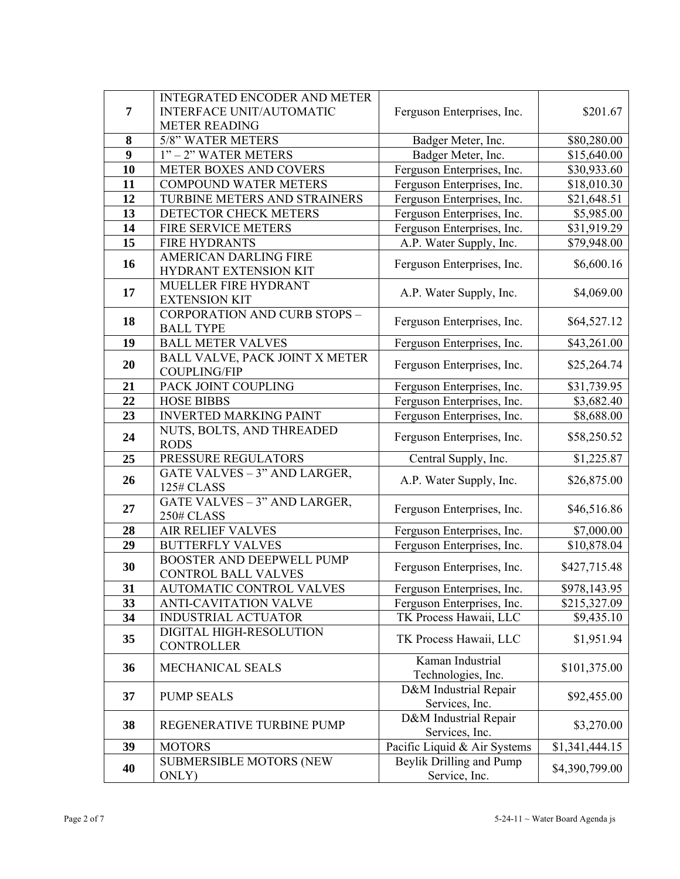|                  | <b>INTEGRATED ENCODER AND METER</b>      |                                           |                |  |
|------------------|------------------------------------------|-------------------------------------------|----------------|--|
| $\overline{7}$   | <b>INTERFACE UNIT/AUTOMATIC</b>          | Ferguson Enterprises, Inc.                | \$201.67       |  |
|                  | <b>METER READING</b>                     |                                           |                |  |
| 8                | 5/8" WATER METERS                        | Badger Meter, Inc.                        | \$80,280.00    |  |
| $\boldsymbol{9}$ | 1" - 2" WATER METERS                     | Badger Meter, Inc.                        | \$15,640.00    |  |
| 10               | METER BOXES AND COVERS                   | Ferguson Enterprises, Inc.                | \$30,933.60    |  |
| 11               | COMPOUND WATER METERS                    | Ferguson Enterprises, Inc.                | \$18,010.30    |  |
| 12               | TURBINE METERS AND STRAINERS             | Ferguson Enterprises, Inc.                | \$21,648.51    |  |
| 13               | DETECTOR CHECK METERS                    | Ferguson Enterprises, Inc.                | \$5,985.00     |  |
| $\overline{14}$  | FIRE SERVICE METERS                      | Ferguson Enterprises, Inc.                | \$31,919.29    |  |
| 15               | <b>FIRE HYDRANTS</b>                     | A.P. Water Supply, Inc.                   | \$79,948.00    |  |
|                  | <b>AMERICAN DARLING FIRE</b>             |                                           |                |  |
| 16               | HYDRANT EXTENSION KIT                    | Ferguson Enterprises, Inc.                | \$6,600.16     |  |
| 17               | MUELLER FIRE HYDRANT                     | A.P. Water Supply, Inc.                   | \$4,069.00     |  |
|                  | <b>EXTENSION KIT</b>                     |                                           |                |  |
| 18               | <b>CORPORATION AND CURB STOPS -</b>      | Ferguson Enterprises, Inc.                | \$64,527.12    |  |
|                  | <b>BALL TYPE</b>                         |                                           |                |  |
| 19               | <b>BALL METER VALVES</b>                 | Ferguson Enterprises, Inc.                | \$43,261.00    |  |
| 20               | BALL VALVE, PACK JOINT X METER           | Ferguson Enterprises, Inc.                | \$25,264.74    |  |
|                  | <b>COUPLING/FIP</b>                      |                                           |                |  |
| 21               | PACK JOINT COUPLING                      | Ferguson Enterprises, Inc.                | \$31,739.95    |  |
| 22               | <b>HOSE BIBBS</b>                        | Ferguson Enterprises, Inc.                | \$3,682.40     |  |
| 23               | <b>INVERTED MARKING PAINT</b>            | Ferguson Enterprises, Inc.                | \$8,688.00     |  |
| 24               | NUTS, BOLTS, AND THREADED<br><b>RODS</b> | Ferguson Enterprises, Inc.                | \$58,250.52    |  |
| 25               | PRESSURE REGULATORS                      | Central Supply, Inc.                      | \$1,225.87     |  |
|                  | <b>GATE VALVES - 3" AND LARGER,</b>      |                                           |                |  |
| 26               | A.P. Water Supply, Inc.<br>125# CLASS    |                                           | \$26,875.00    |  |
| 27               | GATE VALVES - 3" AND LARGER,             |                                           |                |  |
|                  | 250# CLASS                               | Ferguson Enterprises, Inc.                | \$46,516.86    |  |
| 28               | <b>AIR RELIEF VALVES</b>                 | Ferguson Enterprises, Inc.                | \$7,000.00     |  |
| 29               | <b>BUTTERFLY VALVES</b>                  | Ferguson Enterprises, Inc.                | \$10,878.04    |  |
| 30               | <b>BOOSTER AND DEEPWELL PUMP</b>         | Ferguson Enterprises, Inc.                | \$427,715.48   |  |
|                  | <b>CONTROL BALL VALVES</b>               |                                           |                |  |
| 31               | AUTOMATIC CONTROL VALVES                 | Ferguson Enterprises, Inc.                | \$978,143.95   |  |
| 33               | <b>ANTI-CAVITATION VALVE</b>             | Ferguson Enterprises, Inc.                | \$215,327.09   |  |
| 34               | <b>INDUSTRIAL ACTUATOR</b>               | TK Process Hawaii, LLC                    | \$9,435.10     |  |
| 35               | DIGITAL HIGH-RESOLUTION                  | TK Process Hawaii, LLC                    | \$1,951.94     |  |
|                  | <b>CONTROLLER</b>                        |                                           |                |  |
| 36               | <b>MECHANICAL SEALS</b>                  | Kaman Industrial                          | \$101,375.00   |  |
|                  |                                          | Technologies, Inc.                        |                |  |
| 37               | <b>PUMP SEALS</b>                        | D&M Industrial Repair                     | \$92,455.00    |  |
|                  |                                          | Services, Inc.                            |                |  |
| 38               | REGENERATIVE TURBINE PUMP                | D&M Industrial Repair                     | \$3,270.00     |  |
| 39               |                                          | Services, Inc.                            |                |  |
|                  | <b>MOTORS</b>                            | Pacific Liquid & Air Systems              | \$1,341,444.15 |  |
| 40               | <b>SUBMERSIBLE MOTORS (NEW</b>           | Beylik Drilling and Pump<br>Service, Inc. | \$4,390,799.00 |  |
|                  | ONLY)                                    |                                           |                |  |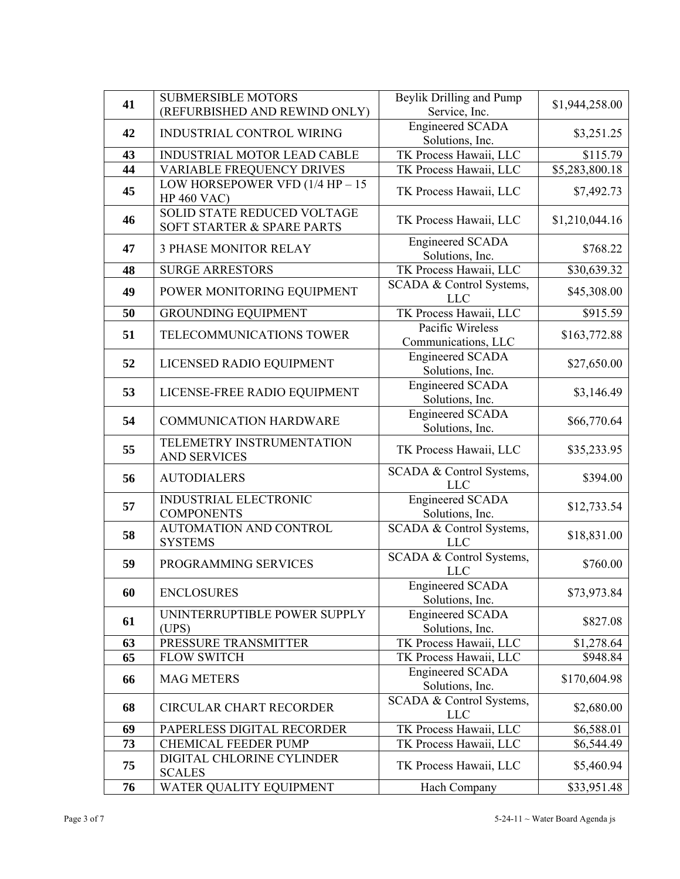| 41 | <b>SUBMERSIBLE MOTORS</b>                                        | Beylik Drilling and Pump                   | \$1,944,258.00             |  |
|----|------------------------------------------------------------------|--------------------------------------------|----------------------------|--|
|    | (REFURBISHED AND REWIND ONLY)                                    | Service, Inc.                              |                            |  |
| 42 | INDUSTRIAL CONTROL WIRING                                        | <b>Engineered SCADA</b><br>Solutions, Inc. |                            |  |
| 43 | INDUSTRIAL MOTOR LEAD CABLE                                      | TK Process Hawaii, LLC                     | \$115.79                   |  |
| 44 | <b>VARIABLE FREQUENCY DRIVES</b>                                 | TK Process Hawaii, LLC                     | $\overline{$5,283,800.18}$ |  |
| 45 | LOW HORSEPOWER VFD $(1/4$ HP $- 15$<br><b>HP 460 VAC)</b>        | TK Process Hawaii, LLC                     | \$7,492.73                 |  |
| 46 | <b>SOLID STATE REDUCED VOLTAGE</b><br>SOFT STARTER & SPARE PARTS | TK Process Hawaii, LLC                     | \$1,210,044.16             |  |
| 47 | <b>3 PHASE MONITOR RELAY</b>                                     | <b>Engineered SCADA</b><br>Solutions, Inc. | \$768.22                   |  |
| 48 | <b>SURGE ARRESTORS</b>                                           | TK Process Hawaii, LLC                     | \$30,639.32                |  |
| 49 | POWER MONITORING EQUIPMENT                                       | SCADA & Control Systems,<br><b>LLC</b>     | \$45,308.00                |  |
| 50 | <b>GROUNDING EQUIPMENT</b>                                       | <b>TK Process Hawaii</b> , LLC             | \$915.59                   |  |
| 51 | TELECOMMUNICATIONS TOWER                                         | Pacific Wireless<br>Communications, LLC    | \$163,772.88               |  |
| 52 | LICENSED RADIO EQUIPMENT                                         | <b>Engineered SCADA</b><br>Solutions, Inc. | \$27,650.00                |  |
| 53 | LICENSE-FREE RADIO EQUIPMENT                                     | <b>Engineered SCADA</b><br>Solutions, Inc. | \$3,146.49                 |  |
| 54 | <b>COMMUNICATION HARDWARE</b>                                    | <b>Engineered SCADA</b><br>Solutions, Inc. | \$66,770.64                |  |
| 55 | TELEMETRY INSTRUMENTATION<br><b>AND SERVICES</b>                 | TK Process Hawaii, LLC                     | \$35,233.95                |  |
| 56 | <b>AUTODIALERS</b>                                               | SCADA & Control Systems,<br><b>LLC</b>     | \$394.00                   |  |
| 57 | <b>INDUSTRIAL ELECTRONIC</b><br><b>COMPONENTS</b>                | <b>Engineered SCADA</b><br>Solutions, Inc. | \$12,733.54                |  |
| 58 | AUTOMATION AND CONTROL<br><b>SYSTEMS</b>                         | SCADA & Control Systems,<br><b>LLC</b>     | \$18,831.00                |  |
| 59 | PROGRAMMING SERVICES                                             | SCADA & Control Systems,<br><b>LLC</b>     | \$760.00                   |  |
| 60 | <b>ENCLOSURES</b>                                                | <b>Engineered SCADA</b><br>Solutions, Inc. | \$73,973.84                |  |
| 61 | UNINTERRUPTIBLE POWER SUPPLY<br>(UPS)                            | <b>Engineered SCADA</b><br>Solutions, Inc. | \$827.08                   |  |
| 63 | PRESSURE TRANSMITTER                                             | TK Process Hawaii, LLC                     | \$1,278.64                 |  |
| 65 | <b>FLOW SWITCH</b>                                               | TK Process Hawaii, LLC                     | \$948.84                   |  |
| 66 | <b>MAG METERS</b>                                                | <b>Engineered SCADA</b><br>Solutions, Inc. | \$170,604.98               |  |
| 68 | <b>CIRCULAR CHART RECORDER</b>                                   | SCADA & Control Systems,<br><b>LLC</b>     | \$2,680.00                 |  |
| 69 | PAPERLESS DIGITAL RECORDER                                       | TK Process Hawaii, LLC                     | \$6,588.01                 |  |
| 73 | <b>CHEMICAL FEEDER PUMP</b>                                      | TK Process Hawaii, LLC                     | \$6,544.49                 |  |
| 75 | DIGITAL CHLORINE CYLINDER<br><b>SCALES</b>                       | TK Process Hawaii, LLC                     | \$5,460.94                 |  |
| 76 | WATER QUALITY EQUIPMENT                                          | Hach Company                               | \$33,951.48                |  |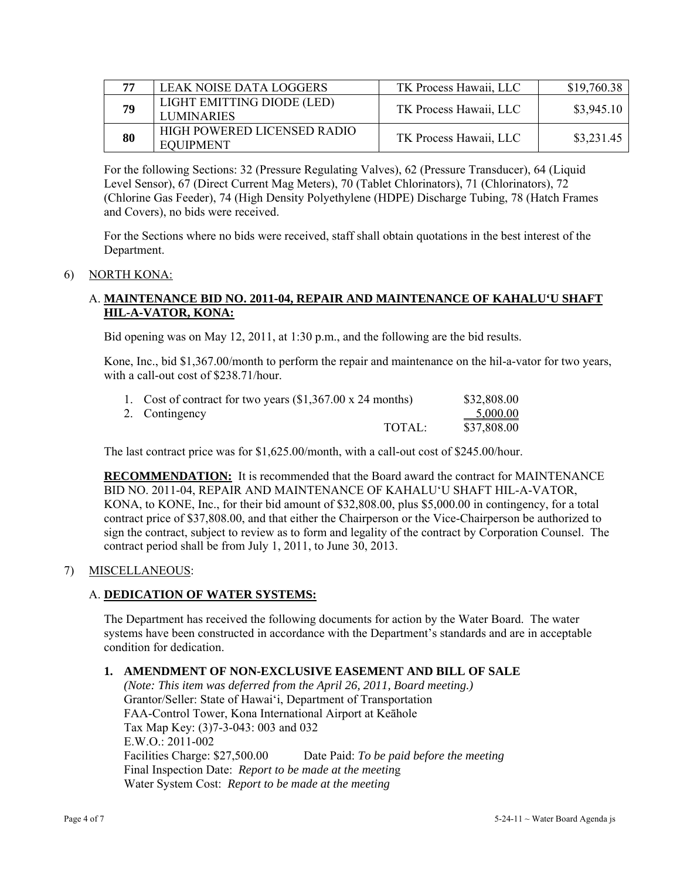| 77 | LEAK NOISE DATA LOGGERS                         | TK Process Hawaii, LLC | \$19,760.38 |
|----|-------------------------------------------------|------------------------|-------------|
| 79 | LIGHT EMITTING DIODE (LED)<br><b>LUMINARIES</b> | TK Process Hawaii, LLC | \$3,945.10  |
| 80 | HIGH POWERED LICENSED RADIO<br>EQUIPMENT        | TK Process Hawaii, LLC | \$3,231.45  |

For the following Sections: 32 (Pressure Regulating Valves), 62 (Pressure Transducer), 64 (Liquid Level Sensor), 67 (Direct Current Mag Meters), 70 (Tablet Chlorinators), 71 (Chlorinators), 72 (Chlorine Gas Feeder), 74 (High Density Polyethylene (HDPE) Discharge Tubing, 78 (Hatch Frames and Covers), no bids were received.

For the Sections where no bids were received, staff shall obtain quotations in the best interest of the Department.

### 6) NORTH KONA:

## A. **MAINTENANCE BID NO. 2011-04, REPAIR AND MAINTENANCE OF KAHALU'U SHAFT HIL-A-VATOR, KONA:**

Bid opening was on May 12, 2011, at 1:30 p.m., and the following are the bid results.

Kone, Inc., bid \$1,367.00/month to perform the repair and maintenance on the hil-a-vator for two years, with a call-out cost of \$238.71/hour.

| 1. Cost of contract for two years $(\$1,367.00 \times 24 \text{ months})$ |        | \$32,808.00 |
|---------------------------------------------------------------------------|--------|-------------|
| 2. Contingency                                                            |        | $-5,000.00$ |
|                                                                           | TOTAL: | \$37,808.00 |

The last contract price was for \$1,625.00/month, with a call-out cost of \$245.00/hour.

**RECOMMENDATION:** It is recommended that the Board award the contract for MAINTENANCE BID NO. 2011-04, REPAIR AND MAINTENANCE OF KAHALU'U SHAFT HIL-A-VATOR, KONA, to KONE, Inc., for their bid amount of \$32,808.00, plus \$5,000.00 in contingency, for a total contract price of \$37,808.00, and that either the Chairperson or the Vice-Chairperson be authorized to sign the contract, subject to review as to form and legality of the contract by Corporation Counsel. The contract period shall be from July 1, 2011, to June 30, 2013.

### 7) MISCELLANEOUS:

# A. **DEDICATION OF WATER SYSTEMS:**

The Department has received the following documents for action by the Water Board. The water systems have been constructed in accordance with the Department's standards and are in acceptable condition for dedication.

### **1. AMENDMENT OF NON-EXCLUSIVE EASEMENT AND BILL OF SALE**

*(Note: This item was deferred from the April 26, 2011, Board meeting.)*  Grantor/Seller: State of Hawai'i, Department of Transportation FAA-Control Tower, Kona International Airport at Keāhole Tax Map Key: (3)7-3-043: 003 and 032 E.W.O.: 2011-002 Facilities Charge: \$27,500.00 Date Paid: *To be paid before the meeting*  Final Inspection Date: *Report to be made at the meetin*g Water System Cost: *Report to be made at the meeting*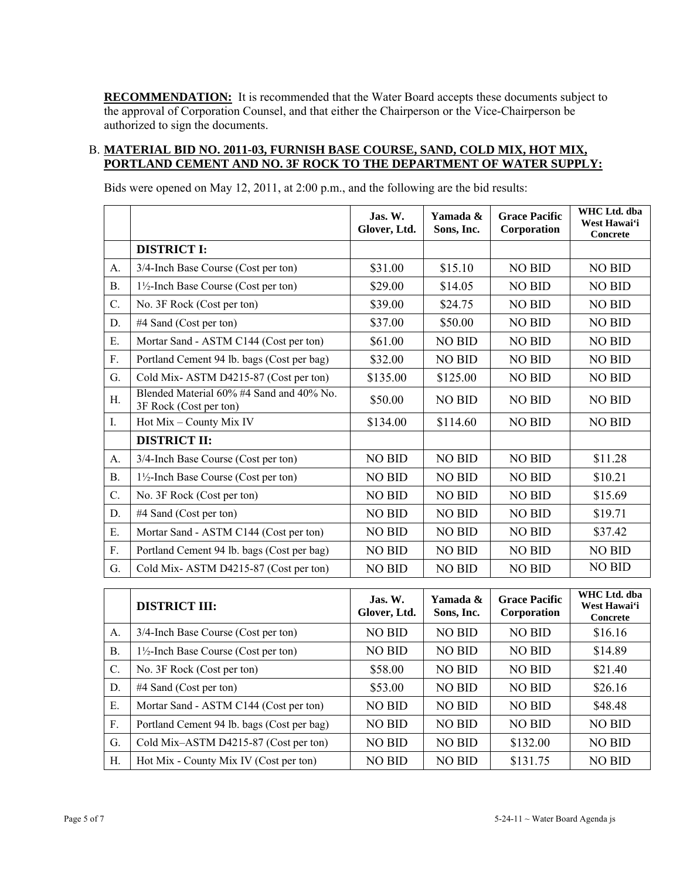**RECOMMENDATION:** It is recommended that the Water Board accepts these documents subject to the approval of Corporation Counsel, and that either the Chairperson or the Vice-Chairperson be authorized to sign the documents.

# B. **MATERIAL BID NO. 2011-03, FURNISH BASE COURSE, SAND, COLD MIX, HOT MIX, PORTLAND CEMENT AND NO. 3F ROCK TO THE DEPARTMENT OF WATER SUPPLY:**

Bids were opened on May 12, 2011, at 2:00 p.m., and the following are the bid results:

|           |                                                                    | Jas. W.<br>Glover, Ltd.   | Yamada &<br>Sons, Inc.                                           | <b>Grace Pacific</b><br>Corporation | WHC Ltd. dba<br>West Hawai'i<br>Concrete |
|-----------|--------------------------------------------------------------------|---------------------------|------------------------------------------------------------------|-------------------------------------|------------------------------------------|
|           | <b>DISTRICT I:</b>                                                 |                           |                                                                  |                                     |                                          |
| A.        | 3/4-Inch Base Course (Cost per ton)                                | \$31.00                   | \$15.10                                                          | <b>NO BID</b>                       | <b>NO BID</b>                            |
| <b>B.</b> | $1\frac{1}{2}$ -Inch Base Course (Cost per ton)                    | \$29.00                   | \$14.05                                                          | <b>NO BID</b>                       | <b>NO BID</b>                            |
| C.        | No. 3F Rock (Cost per ton)                                         | \$39.00                   | \$24.75                                                          | <b>NO BID</b>                       | <b>NO BID</b>                            |
| D.        | #4 Sand (Cost per ton)                                             | \$37.00                   | \$50.00                                                          | <b>NO BID</b>                       | <b>NO BID</b>                            |
| E.        | Mortar Sand - ASTM C144 (Cost per ton)                             | \$61.00                   | <b>NO BID</b>                                                    | <b>NO BID</b>                       | <b>NO BID</b>                            |
| F.        | Portland Cement 94 lb. bags (Cost per bag)                         | \$32.00                   | <b>NO BID</b>                                                    | <b>NO BID</b>                       | <b>NO BID</b>                            |
| G.        | Cold Mix-ASTM D4215-87 (Cost per ton)                              | \$135.00                  | \$125.00                                                         | <b>NO BID</b>                       | <b>NO BID</b>                            |
| H.        | Blended Material 60% #4 Sand and 40% No.<br>3F Rock (Cost per ton) | \$50.00                   | <b>NO BID</b>                                                    | <b>NO BID</b>                       | <b>NO BID</b>                            |
| I.        | Hot Mix – County Mix IV                                            | \$134.00                  | \$114.60                                                         | <b>NO BID</b>                       | <b>NO BID</b>                            |
|           | <b>DISTRICT II:</b>                                                |                           |                                                                  |                                     |                                          |
| A.        | 3/4-Inch Base Course (Cost per ton)                                | <b>NO BID</b>             | <b>NO BID</b>                                                    | <b>NO BID</b>                       | \$11.28                                  |
| <b>B.</b> | $1\frac{1}{2}$ -Inch Base Course (Cost per ton)                    | NO BID                    | <b>NO BID</b>                                                    | <b>NO BID</b>                       | \$10.21                                  |
| C.        | No. 3F Rock (Cost per ton)                                         | <b>NO BID</b>             | <b>NO BID</b>                                                    | <b>NO BID</b>                       | \$15.69                                  |
| D.        | #4 Sand (Cost per ton)                                             | <b>NO BID</b>             | <b>NO BID</b>                                                    | <b>NO BID</b>                       | \$19.71                                  |
| Ε.        | Mortar Sand - ASTM C144 (Cost per ton)                             | <b>NO BID</b>             | <b>NO BID</b>                                                    | <b>NO BID</b>                       | \$37.42                                  |
| F.        | Portland Cement 94 lb. bags (Cost per bag)                         | <b>NO BID</b>             | <b>NO BID</b>                                                    | <b>NO BID</b>                       | <b>NO BID</b>                            |
| G.        | Cold Mix-ASTM D4215-87 (Cost per ton)                              | NO BID                    | NO BID                                                           | NO BID                              | <b>NO BID</b>                            |
|           |                                                                    | $\mathbf{v}$ $\mathbf{v}$ | $\mathbf{v}$ $\mathbf{v}$ $\mathbf{v}$ $\mathbf{v}$ $\mathbf{v}$ | $\alpha$ n $\alpha$                 | WHC Ltd. dba                             |

|           | <b>DISTRICT III:</b>                            | Jas. W.<br>Glover, Ltd. | Yamada &<br>Sons, Inc. | <b>Grace Pacific</b><br>Corporation | WHC Ltd. dba<br>West Hawai'i<br><b>Concrete</b> |
|-----------|-------------------------------------------------|-------------------------|------------------------|-------------------------------------|-------------------------------------------------|
| A.        | 3/4-Inch Base Course (Cost per ton)             | NO BID                  | <b>NO BID</b>          | <b>NO BID</b>                       | \$16.16                                         |
| <b>B.</b> | $1\frac{1}{2}$ -Inch Base Course (Cost per ton) | <b>NO BID</b>           | <b>NO BID</b>          | <b>NO BID</b>                       | \$14.89                                         |
| C.        | No. 3F Rock (Cost per ton)                      | \$58.00                 | <b>NO BID</b>          | <b>NO BID</b>                       | \$21.40                                         |
| D.        | #4 Sand (Cost per ton)                          | \$53.00                 | <b>NO BID</b>          | <b>NO BID</b>                       | \$26.16                                         |
| Ε.        | Mortar Sand - ASTM C144 (Cost per ton)          | <b>NO BID</b>           | <b>NO BID</b>          | <b>NO BID</b>                       | \$48.48                                         |
| F.        | Portland Cement 94 lb. bags (Cost per bag)      | <b>NO BID</b>           | NO BID                 | <b>NO BID</b>                       | <b>NO BID</b>                                   |
| G.        | Cold Mix-ASTM D4215-87 (Cost per ton)           | <b>NO BID</b>           | <b>NO BID</b>          | \$132.00                            | <b>NO BID</b>                                   |
| H.        | Hot Mix - County Mix IV (Cost per ton)          | <b>NO BID</b>           | <b>NO BID</b>          | \$131.75                            | <b>NO BID</b>                                   |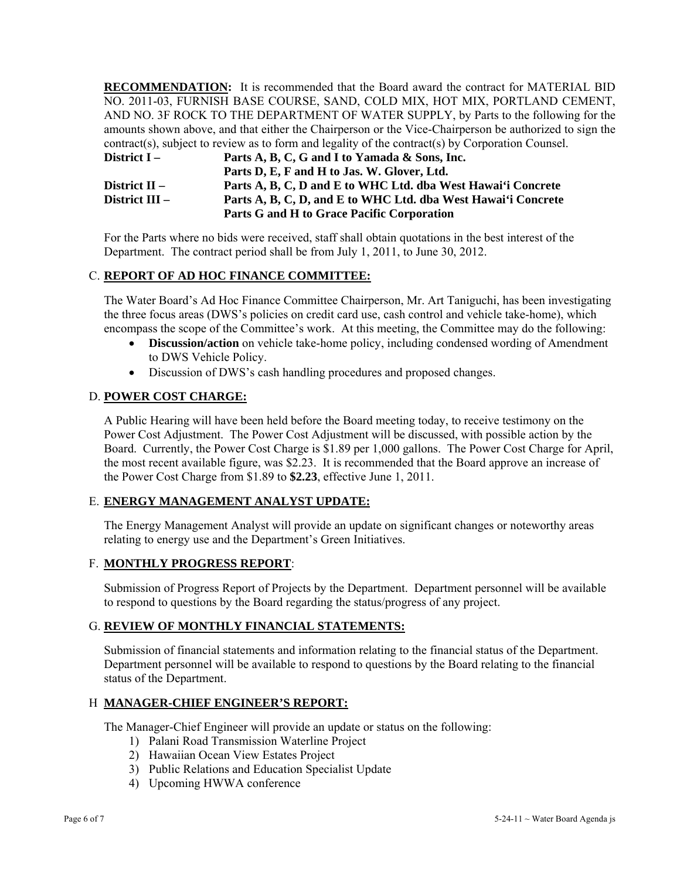**RECOMMENDATION:** It is recommended that the Board award the contract for MATERIAL BID NO. 2011-03, FURNISH BASE COURSE, SAND, COLD MIX, HOT MIX, PORTLAND CEMENT, AND NO. 3F ROCK TO THE DEPARTMENT OF WATER SUPPLY, by Parts to the following for the amounts shown above, and that either the Chairperson or the Vice-Chairperson be authorized to sign the contract(s), subject to review as to form and legality of the contract(s) by Corporation Counsel.

| District I –   | Parts A, B, C, G and I to Yamada & Sons, Inc.                 |
|----------------|---------------------------------------------------------------|
|                | Parts D, E, F and H to Jas. W. Glover, Ltd.                   |
| District II –  | Parts A, B, C, D and E to WHC Ltd. dba West Hawai'i Concrete  |
| District III – | Parts A, B, C, D, and E to WHC Ltd. dba West Hawai'i Concrete |
|                | Parts G and H to Grace Pacific Corporation                    |

For the Parts where no bids were received, staff shall obtain quotations in the best interest of the Department. The contract period shall be from July 1, 2011, to June 30, 2012.

## C. **REPORT OF AD HOC FINANCE COMMITTEE:**

The Water Board's Ad Hoc Finance Committee Chairperson, Mr. Art Taniguchi, has been investigating the three focus areas (DWS's policies on credit card use, cash control and vehicle take-home), which encompass the scope of the Committee's work. At this meeting, the Committee may do the following:

- **Discussion/action** on vehicle take-home policy, including condensed wording of Amendment to DWS Vehicle Policy.
- Discussion of DWS's cash handling procedures and proposed changes.

### D. **POWER COST CHARGE:**

A Public Hearing will have been held before the Board meeting today, to receive testimony on the Power Cost Adjustment. The Power Cost Adjustment will be discussed, with possible action by the Board. Currently, the Power Cost Charge is \$1.89 per 1,000 gallons. The Power Cost Charge for April, the most recent available figure, was \$2.23. It is recommended that the Board approve an increase of the Power Cost Charge from \$1.89 to **\$2.23**, effective June 1, 2011.

### E. **ENERGY MANAGEMENT ANALYST UPDATE:**

The Energy Management Analyst will provide an update on significant changes or noteworthy areas relating to energy use and the Department's Green Initiatives.

#### F. **MONTHLY PROGRESS REPORT**:

Submission of Progress Report of Projects by the Department. Department personnel will be available to respond to questions by the Board regarding the status/progress of any project.

### G. **REVIEW OF MONTHLY FINANCIAL STATEMENTS:**

Submission of financial statements and information relating to the financial status of the Department. Department personnel will be available to respond to questions by the Board relating to the financial status of the Department.

#### H **MANAGER-CHIEF ENGINEER'S REPORT:**

The Manager-Chief Engineer will provide an update or status on the following:

- 1) Palani Road Transmission Waterline Project
- 2) Hawaiian Ocean View Estates Project
- 3) Public Relations and Education Specialist Update
- 4) Upcoming HWWA conference